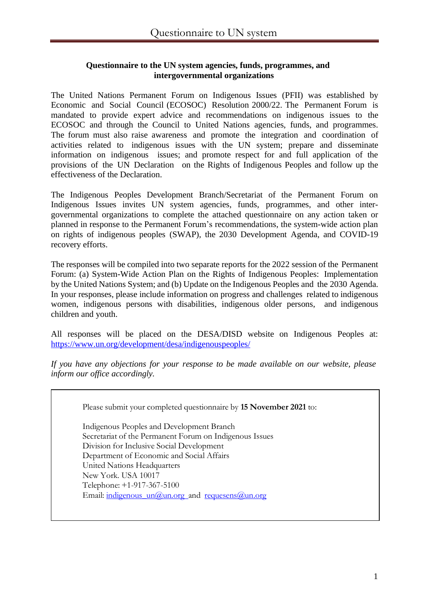### **Questionnaire to the UN system agencies, funds, programmes, and intergovernmental organizations**

The United Nations Permanent Forum on Indigenous Issues (PFII) was established by Economic and Social Council (ECOSOC) Resolution 2000/22. The Permanent Forum is mandated to provide expert advice and recommendations on indigenous issues to the ECOSOC and through the Council to United Nations agencies, funds, and programmes. The forum must also raise awareness and promote the integration and coordination of activities related to indigenous issues with the UN system; prepare and disseminate information on indigenous issues; and promote respect for and full application of the provisions of the UN Declaration on the Rights of Indigenous Peoples and follow up the effectiveness of the Declaration.

The Indigenous Peoples Development Branch/Secretariat of the Permanent Forum on Indigenous Issues invites UN system agencies, funds, programmes, and other intergovernmental organizations to complete the attached questionnaire on any action taken or planned in response to the Permanent Forum's recommendations, the system-wide action plan on rights of indigenous peoples (SWAP), the 2030 Development Agenda, and COVID-19 recovery efforts.

The responses will be compiled into two separate reports for the 2022 session of the Permanent Forum: (a) System-Wide Action Plan on the Rights of Indigenous Peoples: Implementation by the United Nations System; and (b) Update on the Indigenous Peoples and the 2030 Agenda. In your responses, please include information on progress and challenges related to indigenous women, indigenous persons with disabilities, indigenous older persons, and indigenous children and youth.

All responses will be placed on the DESA/DISD website on Indigenous Peoples at: <https://www.un.org/development/desa/indigenouspeoples/>

*If you have any objections for your response to be made available on our website, please inform our office accordingly.*

Please submit your completed questionnaire by **15 November 2021** to:

Indigenous Peoples and Development Branch Secretariat of the Permanent Forum on Indigenous Issues Division for Inclusive Social Development Department of Economic and Social Affairs United Nations Headquarters New York. USA 10017 Telephone: +1-917-367-5100 Email: indigenous  $un(\hat{a})$ un.org and requesens $(\hat{a})$ un.org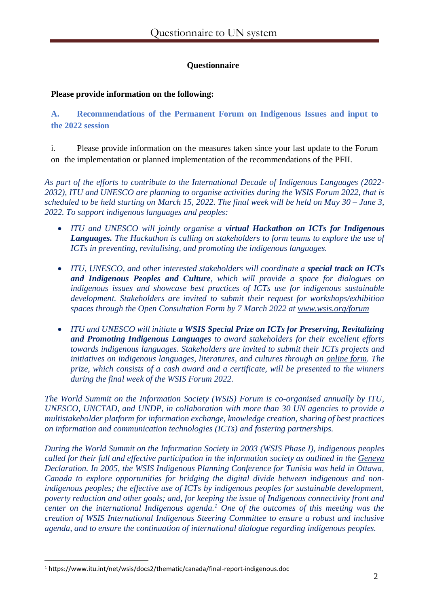## **Questionnaire**

### **Please provide information on the following:**

**A. Recommendations of the Permanent Forum on Indigenous Issues and input to the 2022 session**

i. Please provide information on the measures taken since your last update to the Forum on the implementation or planned implementation of the recommendations of the PFII.

*As part of the efforts to contribute to the International Decade of Indigenous Languages (2022- 2032), ITU and UNESCO are planning to organise activities during the WSIS Forum 2022, that is scheduled to be held starting on March 15, 2022. The final week will be held on May 30 – June 3, 2022. To support indigenous languages and peoples:*

- *ITU and UNESCO will jointly organise a virtual Hackathon on ICTs for Indigenous Languages. The Hackathon is calling on stakeholders to form teams to explore the use of ICTs in preventing, revitalising, and promoting the indigenous languages.*
- *ITU, UNESCO, and other interested stakeholders will coordinate a special track on ICTs and Indigenous Peoples and Culture, which will provide a space for dialogues on indigenous issues and showcase best practices of ICTs use for indigenous sustainable development. Stakeholders are invited to submit their request for workshops/exhibition spaces through the Open Consultation Form by 7 March 2022 at [www.wsis.org/forum](mailto:requesens@un.org)*
- *ITU and UNESCO will initiate a WSIS Special Prize on ICTs for Preserving, Revitalizing and Promoting Indigenous Languages to award stakeholders for their excellent efforts towards indigenous languages. Stakeholders are invited to submit their ICTs projects and initiatives on indigenous languages, literatures, and cultures through an [online form.](mailto:ursula.wynhoven@itu.int) The prize, which consists of a cash award and a certificate, will be presented to the winners during the final week of the WSIS Forum 2022.*

*The World Summit on the Information Society (WSIS) Forum is co-organised annually by ITU, UNESCO, UNCTAD, and UNDP, in collaboration with more than 30 UN agencies to provide a multistakeholder platform for information exchange, knowledge creation, sharing of best practices on information and communication technologies (ICTs) and fostering partnerships.*

*During the World Summit on the Information Society in 2003 (WSIS Phase I), indigenous peoples called for their full and effective participation in the information society as outlined in the [Geneva](https://undocs.org/Home/Mobile?FinalSymbol=E%2FC.19%2F2004%2F3&Language=E&DeviceType=Desktop)  [Declaration.](https://undocs.org/Home/Mobile?FinalSymbol=E%2FC.19%2F2004%2F3&Language=E&DeviceType=Desktop) In 2005, the WSIS Indigenous Planning Conference for Tunisia was held in Ottawa, Canada to explore opportunities for bridging the digital divide between indigenous and non*indigenous peoples; the effective use of ICTs by indigenous peoples for sustainable development, *poverty reduction and other goals; and, for keeping the issue of Indigenous connectivity front and center on the international Indigenous agenda.<sup>1</sup> One of the outcomes of this meeting was the creation of WSIS International Indigenous Steering Committee to ensure a robust and inclusive agenda, and to ensure the continuation of international dialogue regarding indigenous peoples.* 

<sup>1</sup> https://www.itu.int/net/wsis/docs2/thematic/canada/final-report-indigenous.doc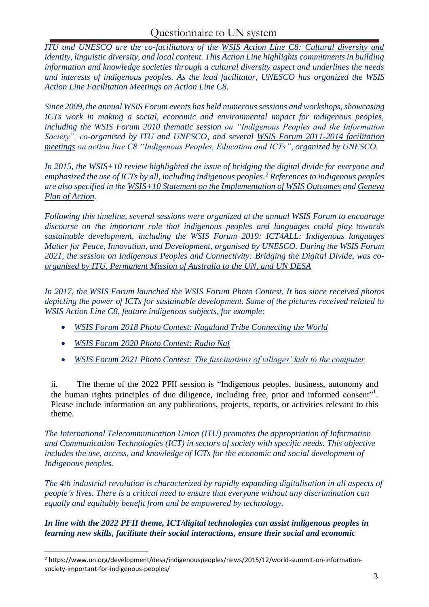*ITU and UNESCO are the co-facilitators of the [WSIS Action Line C8: Cultural diversity and](mailto:indigenous_un@un.org)  [identity, linguistic diversity,](mailto:indigenous_un@un.org) and local content. This Action Line highlights commitments in building information and knowledge societies through a cultural diversity aspect and underlines the needs and interests of indigenous peoples. As the lead facilitator, UNESCO has organized the WSIS Action Line Facilitation Meetings on Action Line C8.* 

*Since 2009, the annual WSIS Forum events has held numerous sessions and workshops, showcasing ICTs work in making a social, economic and environmental impact for indigenous peoples, including the WSIS Forum 2010 [thematic session](https://www.itu.int/net/wsis/implementation/2010/forum/geneva/tw/tw_3.html) on "Indigenous Peoples and the Information Society", co-organised by ITU and UNESCO, and several [WSIS Forum 2011-2014 facilitation](mailto:indigenous_un@un.org)  [meetings](mailto:indigenous_un@un.org) on action line C8 "Indigenous Peoples, Education and ICTs", organized by UNESCO.*

*In 2015, the WSIS+10 review highlighted the issue of bridging the digital divide for everyone and emphasized the use of ICTs by all, including indigenous peoples.<sup>2</sup> References to indigenous peoples are also specified in the [WSIS+10 Statement on the Implementation of WSIS Outcomes](mailto:roxana.widmer-iliescu@itu.int) and [Geneva](https://www.itu.int/net/wsis/docs/geneva/official/poa.html#c8)  [Plan of Action.](https://www.itu.int/net/wsis/docs/geneva/official/poa.html#c8)* 

*Following this timeline, several sessions were organized at the annual WSIS Forum to encourage discourse on the important role that indigenous peoples and languages could play towards sustainable development, including the WSIS Forum 2019: ICT4ALL: Indigenous languages Matter for Peace, Innovation, and Development, organised by UNESCO. During the WSIS Forum [2021, the session on Indigenous Peoples and Connectivity: Bridging the Digital Divide, was co](https://www.itu.int/net4/wsis/forum/2021/en/Agenda/Session/432)[organised by ITU, Permanent Mission of Australia to the UN, and UN DESA](https://www.itu.int/net4/wsis/forum/2021/en/Agenda/Session/432)*

*In 2017, the WSIS Forum launched the WSIS Forum Photo Contest. It has since received photos depicting the power of ICTs for sustainable development. Some of the pictures received related to WSIS Action Line C8, feature indigenous subjects, for example:*

- *[WSIS Forum 2018 Photo Contest: Nagaland Tribe Connecting the World](https://www.itu.int/net4/wsis/forum/2018/pages/photocontest)*
- *[WSIS Forum 2020 Photo Contest: Radio Naf](https://www.itu.int/net4/wsis/forum/2020/en/PhotoContest#photo-9caad60a5a444502bd74be89b50a0a4b)*
- *[WSIS Forum 2021 Photo Contest: The fascinations of villages' kids to the computer](https://www.itu.int/net4/wsis/forum/2019/PhotoSubmissions)*

ii. The theme of the 2022 PFII session is "Indigenous peoples, business, autonomy and the human rights principles of due diligence, including free, prior and informed consent". Please include information on any publications, projects, reports, or activities relevant to this theme.

*The International Telecommunication Union (ITU) promotes the appropriation of Information and Communication Technologies (ICT) in sectors of society with specific needs. This objective*  includes the use, access, and knowledge of ICTs for the economic and social development of *Indigenous peoples.* 

*The 4th industrial revolution is characterized by rapidly expanding digitalisation in all aspects of people's lives. There is a critical need to ensure that everyone without any discrimination can equally and equitably benefit from and be empowered by technology.* 

*In line with the 2022 PFII theme, ICT/digital technologies can assist indigenous peoples in learning new skills, facilitate their social interactions, ensure their social and economic* 

<sup>2</sup> https://www.un.org/development/desa/indigenouspeoples/news/2015/12/world-summit-on-informationsociety-important-for-indigenous-peoples/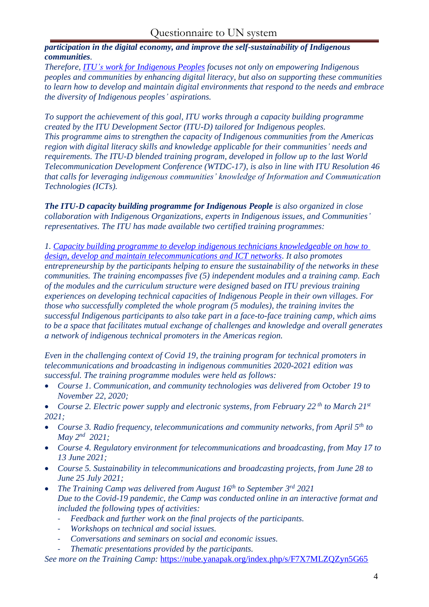*participation in the digital economy, and improve the self-sustainability of Indigenous communities.* 

*Therefore, ITU's [work for Indigenous Peoples](http://www.wsis.org/forum) focuses not only on empowering Indigenous peoples and communities by enhancing digital literacy, but also on supporting these communities to learn how to develop and maintain digital environments that respond to the needs and embrace the diversity of Indigenous peoples' aspirations.*

*To support the achievement of this goal, ITU works through a capacity building programme created by the ITU Development Sector (ITU-D) tailored for Indigenous peoples. This programme aims to strengthen the capacity of Indigenous communities from the Americas region with digital literacy skills and knowledge applicable for their communities' needs and requirements. The ITU-D blended training program, developed in follow up to the last World Telecommunication Development Conference (WTDC-17), is also in line with ITU Resolution 46 that calls for leveraging indigenous communities' knowledge of Information and Communication Technologies (ICTs).*

*The ITU-D capacity building programme for Indigenous People is also organized in close collaboration with Indigenous Organizations, experts in Indigenous issues, and Communities' representatives. The ITU has made available two certified training programmes:*

*1. Capacity building programme [to develop indigenous technicians knowledgeable](http://www.wsis.org/forum) on how to [design, develop and maintain telecommunications and ICT networks.](http://www.wsis.org/forum) It also promotes entrepreneurship by the participants helping to ensure the sustainability of the networks in these communities. The training encompasses five (5) independent modules and a training camp. Each of the modules and the curriculum structure were designed based on ITU previous training experiences on developing technical capacities of Indigenous People in their own villages. For those who successfully completed the whole program (5 modules), the training invites the successful Indigenous participants to also take part in a face-to-face training camp, which aims to be a space that facilitates mutual exchange of challenges and knowledge and overall generates a network of indigenous technical promoters in the Americas region.*

*Even in the challenging context of Covid 19, the training program for technical promoters in telecommunications and broadcasting in indigenous communities 2020-2021 edition was successful. The training programme modules were held as follows:* 

- *Course 1. Communication, and community technologies was delivered from October 19 to November 22, 2020;*
- *Course 2. Electric power supply and electronic systems, from February 22 th to March 21st 2021;*
- *Course 3. Radio frequency, telecommunications and community networks, from April 5th to May 2nd 2021;*
- *Course 4. Regulatory environment for telecommunications and broadcasting, from May 17 to 13 June 2021;*
- *Course 5. Sustainability in telecommunications and broadcasting projects, from June 28 to June 25 July 2021;*
- *The Training Camp was delivered from August 16th to September 3rd 2021 Due to the Covid-19 pandemic, the Camp was conducted online in an interactive format and included the following types of activities:*
	- *Feedback and further work on the final projects of the participants.*
	- *Workshops on technical and social issues.*
	- *Conversations and seminars on social and economic issues.*
	- *Thematic presentations provided by the participants.*

*See more on the Training Camp:* [https://nube.yanapak.org/index.php/s/F7X7MLZQZyn5G65](mailto:requesens@un.org)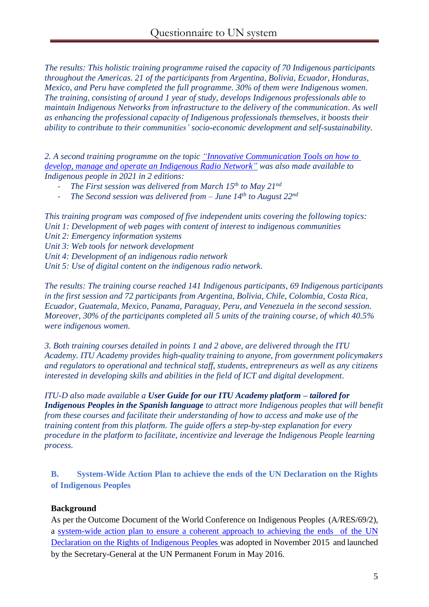*The results: This holistic training programme raised the capacity of 70 Indigenous participants throughout the Americas. 21 of the participants from Argentina, Bolivia, Ecuador, Honduras, Mexico, and Peru have completed the full programme. 30% of them were Indigenous women. The training, consisting of around 1 year of study, develops Indigenous professionals able to maintain Indigenous Networks from infrastructure to the delivery of the communication. As well as enhancing the professional capacity of Indigenous professionals themselves, it boosts their ability to contribute to their communities' socio-economic development and self-sustainability.* 

*2. A second training programme on the topic ["Innovative Communication Tools on how to](https://www.itu.int/net/wsis/c8/index.html)  [develop, manage and operate an Indigenous Radio Network"](https://www.itu.int/net/wsis/c8/index.html) was also made available to Indigenous people in 2021 in 2 editions:*

- *The First session was delivered from March 15th to May 21nd*
- *The Second session was delivered from – June 14th to August 22nd*

*This training program was composed of five independent units covering the following topics: Unit 1: Development of web pages with content of interest to indigenous communities Unit 2: Emergency information systems Unit 3: Web tools for network development Unit 4: Development of an indigenous radio network Unit 5: Use of digital content on the indigenous radio network.*

*The results: The training course reached 141 Indigenous participants, 69 Indigenous participants in the first session and 72 participants from Argentina, Bolivia, Chile, Colombia, Costa Rica, Ecuador, Guatemala, Mexico, Panama, Paraguay, Peru, and Venezuela in the second session. Moreover, 30% of the participants completed all 5 units of the training course, of which 40.5% were indigenous women.* 

*3. Both training courses detailed in points 1 and 2 above, are delivered through the ITU Academy. ITU Academy provides high-quality training to anyone, from government policymakers and regulators to operational and technical staff, students, entrepreneurs as well as any citizens interested in developing skills and abilities in the field of ICT and digital development.*

*ITU-D also made available a User Guide for our ITU Academy platform – tailored for Indigenous Peoples in the Spanish language to attract more Indigenous peoples that will benefit from these courses and facilitate their understanding of how to access and make use of the training content from this platform. The guide offers a step-by-step explanation for every procedure in the platform to facilitate, incentivize and leverage the Indigenous People learning process.*

**B. System-Wide Action Plan to achieve the ends of the UN Declaration on the Rights of Indigenous Peoples**

# **Background**

As per the Outcome Document of the World Conference on Indigenous Peoples (A/RES/69/2), a system-wide action plan to ensure a coherent approach to achieving the ends of the UN Declaration on the Rights of Indigenous Peoples was adopted in November 2015 and launched by the Secretary-General at the UN Permanent Forum in May 2016.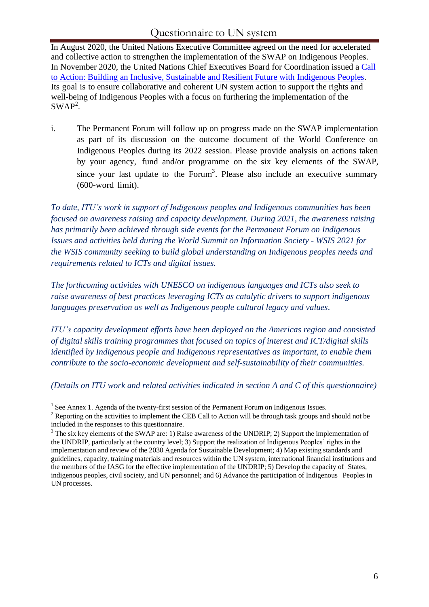# Questionnaire to UN system

In August 2020, the United Nations Executive Committee agreed on the need for accelerated and collective action to strengthen the implementation of the SWAP on Indigenous Peoples. In November 2020, the United Nations Chief Executives Board for Coordination issued a [Call](https://unsceb.org/building-inclusive-sustainable-and-resilient-future-indigenous-peoples-call-action) to Action: Building an Inclusive, [Sustainable and](https://www.itu.int/en/ITU-D/Digital-Inclusion/Indigenous-Peoples/Pages/default.aspx) Resilient Future with Indigenous Peoples. Its goal is to ensure collaborative and coherent UN system action to support the rights and well-being of Indigenous Peoples with a focus on furthering the implementation of the  $SWAP<sup>2</sup>$ .

i. The Permanent Forum will follow up on progress made on the SWAP implementation as part of its discussion on the outcome document of the World Conference on Indigenous Peoples during its 2022 session. Please provide analysis on actions taken by your agency, fund and/or programme on the six key elements of the SWAP, since your last update to the Forum<sup>3</sup>. Please also include an executive summary (600-word limit).

*To date, ITU's work in support of Indigenous peoples and Indigenous communities has been focused on awareness raising and capacity development. During 2021, the awareness raising has primarily been achieved through side events for the Permanent Forum on Indigenous Issues and activities held during the World Summit on Information Society - WSIS 2021 for the WSIS community seeking to build global understanding on Indigenous peoples needs and requirements related to ICTs and digital issues.* 

*The forthcoming activities with UNESCO on indigenous languages and ICTs also seek to raise awareness of best practices leveraging ICTs as catalytic drivers to support indigenous languages preservation as well as Indigenous people cultural legacy and values.* 

*ITU's capacity development efforts have been deployed on the Americas region and consisted of digital skills training programmes that focused on topics of interest and ICT/digital skills identified by Indigenous people and Indigenous representatives as important, to enable them contribute to the socio-economic development and self-sustainability of their communities.* 

*(Details on ITU work and related activities indicated in section A and C of this questionnaire)*

<sup>&</sup>lt;sup>1</sup> See Annex 1. Agenda of the twenty-first session of the Permanent Forum on Indigenous Issues.

<sup>&</sup>lt;sup>2</sup> Reporting on the activities to implement the CEB Call to Action will be through task groups and should not be included in the responses to this questionnaire.

 $3$  The six key elements of the SWAP are: 1) Raise awareness of the UNDRIP; 2) Support the implementation of the UNDRIP, particularly at the country level; 3) Support the realization of Indigenous Peoples' rights in the implementation and review of the 2030 Agenda for Sustainable Development; 4) Map existing standards and guidelines, capacity, training materials and resources within the UN system,international financialinstitutions and the members of the IASG for the effective implementation of the UNDRIP; 5) Develop the capacity of States, indigenous peoples, civil society, and UN personnel; and 6) Advance the participation of Indigenous Peoples in UN processes.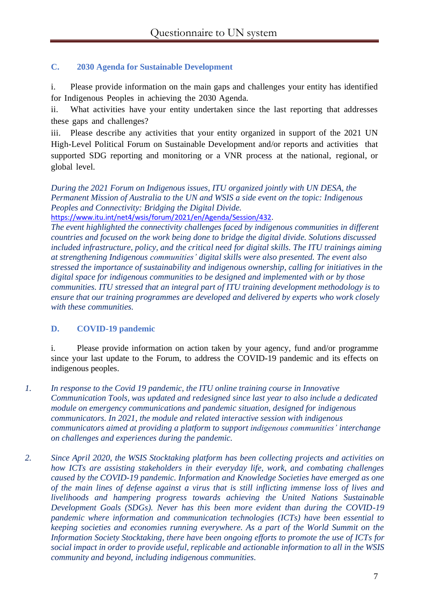# **C. 2030 Agenda for Sustainable Development**

i. Please provide information on the main gaps and challenges your entity has identified for Indigenous Peoples in achieving the 2030 Agenda.

ii. What activities have your entity undertaken since the last reporting that addresses these gaps and challenges?

iii. Please describe any activities that your entity organized in support of the 2021 UN High-Level Political Forum on Sustainable Development and/or reports and activities that supported SDG reporting and monitoring or a VNR process at the national, regional, or global level.

*During the 2021 Forum on Indigenous issues, ITU organized jointly with UN DESA, the Permanent Mission of Australia to the UN and WSIS a side event on the topic: Indigenous Peoples and Connectivity: Bridging the Digital Divide.*

[https://www.itu.int/net4/wsis/forum/2021/en/Agenda/Session/432.](https://www.itu.int/en/ITU-D/Digital-Inclusion/Indigenous-Peoples/Pages/Promotores-Tecnicos.aspx)

*The event highlighted the connectivity challenges faced by indigenous communities in different countries and focused on the work being done to bridge the digital divide. Solutions discussed included infrastructure, policy, and the critical need for digital skills. The ITU trainings aiming at strengthening Indigenous communities' digital skills were also presented. The event also stressed the importance of sustainability and indigenous ownership, calling for initiatives in the digital space for indigenous communities to be designed and implemented with or by those communities. ITU stressed that an integral part of ITU training development methodology is to ensure that our training programmes are developed and delivered by experts who work closely with these communities.* 

# **D. COVID-19 pandemic**

i. Please provide information on action taken by your agency, fund and/or programme since your last update to the Forum, to address the COVID-19 pandemic and its effects on indigenous peoples.

- *1. In response to the Covid 19 pandemic, the ITU online training course in Innovative Communication Tools, was updated and redesigned since last year to also include a dedicated module on emergency communications and pandemic situation, designed for indigenous communicators. In 2021, the module and related interactive session with indigenous communicators aimed at providing a platform to support indigenous communities' interchange on challenges and experiences during the pandemic.*
- *2. Since April 2020, the WSIS Stocktaking platform has been collecting projects and activities on how ICTs are assisting stakeholders in their everyday life, work, and combating challenges caused by the COVID-19 pandemic. Information and Knowledge Societies have emerged as one of the main lines of defense against a virus that is still inflicting immense loss of lives and livelihoods and hampering progress towards achieving the United Nations Sustainable Development Goals (SDGs). Never has this been more evident than during the COVID-19 pandemic where information and communication technologies (ICTs) have been essential to keeping societies and economies running everywhere. As a part of the World Summit on the Information Society Stocktaking, there have been ongoing efforts to promote the use of ICTs for social impact in order to provide useful, replicable and actionable information to all in the WSIS community and beyond, including indigenous communities.*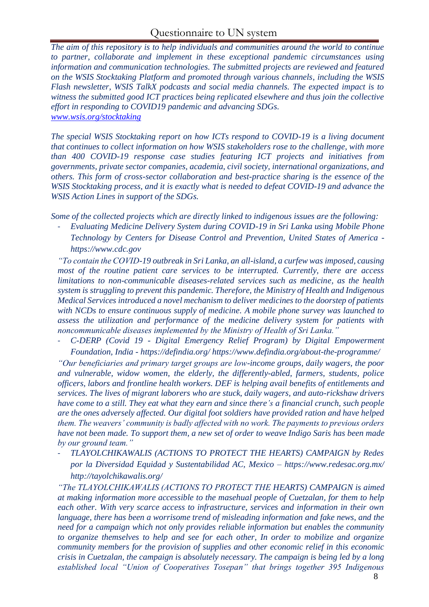# Questionnaire to UN system

*The aim of this repository is to help individuals and communities around the world to continue to partner, collaborate and implement in these exceptional pandemic circumstances using information and communication technologies. The submitted projects are reviewed and featured on the WSIS Stocktaking Platform and promoted through various channels, including the WSIS Flash newsletter, WSIS TalkX podcasts and social media channels. The expected impact is to witness the submitted good ICT practices being replicated elsewhere and thus join the collective effort in responding to COVID19 pandemic and advancing SDGs. [www.wsis.org/stocktaking](https://www.itu.int/net/wsis/review/inc/docs/final/wsis10.statement.pdf)*

*The special WSIS Stocktaking [report](https://unsceb.org/building-inclusive-sustainable-and-resilient-future-indigenous-peoples-call-action) on how ICTs respond to COVID-19 is a living document that continues to collect information on how WSIS stakeholders rose to the challenge, with more than 400 COVID-19 response case studies featuring ICT projects and initiatives from governments, private sector companies, academia, civil society, international organizations, and others. This form of cross-sector collaboration and best-practice sharing is the essence of the WSIS Stocktaking process, and it is exactly what is needed to defeat COVID-19 and advance the WSIS Action Lines in support of the SDGs.* 

*Some of the collected projects which are directly linked to indigenous issues are the following:*

- *Evaluating Medicine Delivery System during COVID-19 in Sri Lanka using Mobile Phone Technology by Centers for Disease Control and Prevention, United States of America [https://www.cdc.gov](https://www.itu.int/net/wsis/c8/index.html)*

*"To contain the COVID-19 outbreak in Sri Lanka, an all-island, a curfew was imposed, causing most of the routine patient care services to be interrupted. Currently, there are access limitations to non-communicable diseases-related services such as medicine, as the health system is struggling to prevent this pandemic. Therefore, the Ministry of Health and Indigenous Medical Services introduced a novel mechanism to deliver medicines to the doorstep of patients with NCDs to ensure continuous supply of medicine. A mobile phone survey was launched to assess the utilization and performance of the medicine delivery system for patients with noncommunicable diseases implemented by the Ministry of Health of Sri Lanka."*

- *C-DERP (Covid 19 - Digital Emergency Relief Program) by Digital Empowerment Foundation, India - [https://defindia.org/](https://nube.yanapak.org/index.php/s/F7X7MLZQZyn5G65) [https://www.defindia.org/about-the-programme/](https://www.itu.int/en/ITU-D/Digital-Inclusion/Indigenous-Peoples/Pages/Herramientas-Innovadoras-con-Enfoque-en-Redes.aspx)*

*"Our beneficiaries and primary target groups are low-income groups, daily wagers, the poor and vulnerable, widow women, the elderly, the differently-abled, farmers, students, police officers, labors and frontline health workers. DEF is helping avail benefits of entitlements and services. The lives of migrant laborers who are stuck, daily wagers, and auto-rickshaw drivers have come to a still. They eat what they earn and since there's a financial crunch, such people are the ones adversely affected. Our digital foot soldiers have provided ration and have helped them. The weavers' community is badly affected with no work. The payments to previous orders have not been made. To support them, a new set of order to weave Indigo Saris has been made by our ground team."*

- *TLAYOLCHIKAWALIS (ACTIONS TO PROTECT THE HEARTS) CAMPAIGN by Redes por la Diversidad Equidad y Sustentabilidad AC, Mexico – <https://www.redesac.org.mx/> [http://tayolchikawalis.org/](https://www.itu.int/net4/wsis/forum/2020/Files/outcomes/draft/WSISStocktakingICTCaseRepository_TheCoronavirusResponseSpecialReport.pdf)* 

*"The TLAYOLCHIKAWALIS (ACTIONS TO PROTECT THE HEARTS) CAMPAIGN is aimed at making information more accessible to the masehual people of Cuetzalan, for them to help each other. With very scarce access to infrastructure, services and information in their own language, there has been a worrisome trend of misleading information and fake news, and the need for a campaign which not only provides reliable information but enables the community to organize themselves to help and see for each other, In order to mobilize and organize community members for the provision of supplies and other economic relief in this economic crisis in Cuetzalan, the campaign is absolutely necessary. The campaign is being led by a long established local "Union of Cooperatives Tosepan" that brings together 395 Indigenous*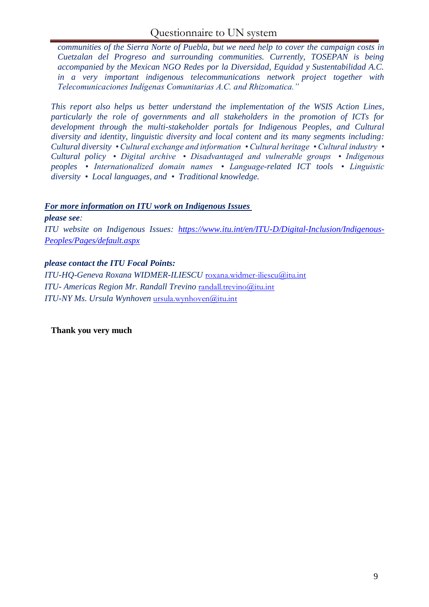*communities of the Sierra Norte of Puebla, but we need help to cover the campaign costs in Cuetzalan del Progreso and surrounding communities. Currently, TOSEPAN is being accompanied by the Mexican NGO Redes por la Diversidad, Equidad y Sustentabilidad A.C. in a very important indigenous telecommunications network project together with Telecomunicaciones Indígenas Comunitarias A.C. and Rhizomatica."*

*This report also helps us better understand the implementation of the [WSIS Action Lines,](https://www.itu.int/net4/wsis/forum/2021/en/Agenda/Session/432) particularly the role of governments and all stakeholders in the promotion of ICTs for development through the multi-stakeholder portals for Indigenous Peoples, and Cultural diversity and identity, linguistic diversity and local content and its many segments including: Cultural diversity • Cultural exchange and information • Cultural heritage • Cultural industry • Cultural policy • Digital archive • Disadvantaged and vulnerable groups • Indigenous peoples • Internationalized domain names • Language-related ICT tools • Linguistic diversity • Local languages, and • Traditional knowledge.*

### *For more information on ITU work on Indigenous Issues*

#### *please see:*

*ITU website on Indigenous Issues: [https://www.itu.int/en/ITU-D/Digital-Inclusion/Indigenous-](https://defindia.org/)[Peoples/Pages/default.aspx](https://defindia.org/)*

### *please contact the ITU Focal Points:*

*ITU-HQ-Geneva Roxana WIDMER-ILIESCU* [roxana.widmer-iliescu@itu.int](https://www.defindia.org/about-the-programme/) *ITU- Americas Region Mr. Randall Trevino* [randall.trevino@itu.int](mailto:randall.trevino@itu.int) *ITU-NY Ms. Ursula Wynhoven* [ursula.wynhoven@itu.int](https://www.itu.int/en/ITU-D/Digital-Inclusion/Indigenous-Peoples/Pages/default.aspx)

**Thank you very much**